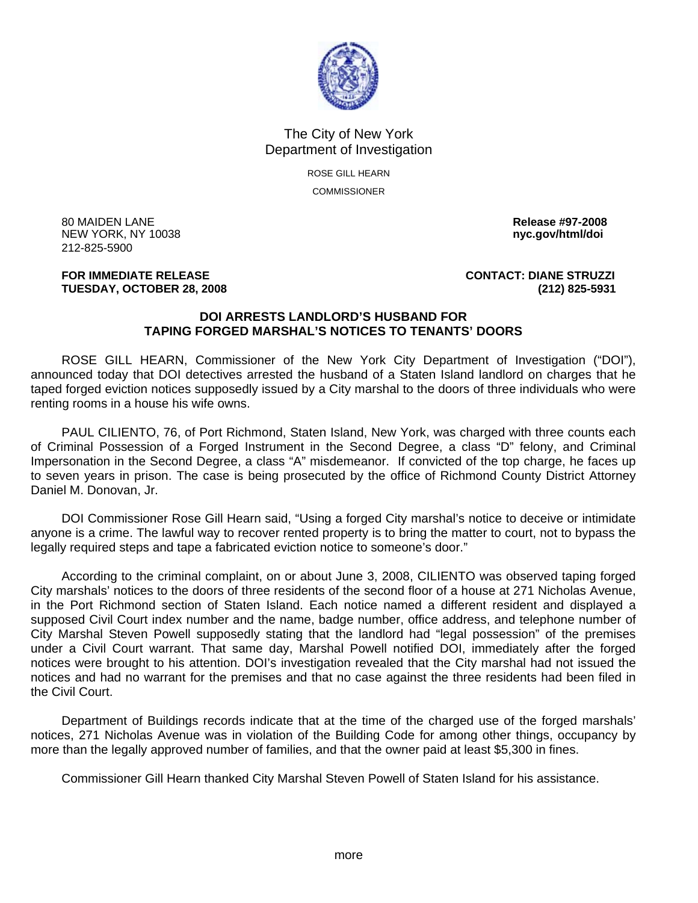

## The City of New York Department of Investigation

ROSE GILL HEARN COMMISSIONER

80 MAIDEN LANE **Release #97-2008 NEW YORK, NY 10038** 212-825-5900

**FOR IMMEDIATE RELEASE CONTACT: DIANE STRUZZI TUESDAY, OCTOBER 28, 2008 (212) 825-5931**

## **DOI ARRESTS LANDLORD'S HUSBAND FOR TAPING FORGED MARSHAL'S NOTICES TO TENANTS' DOORS**

 ROSE GILL HEARN, Commissioner of the New York City Department of Investigation ("DOI"), announced today that DOI detectives arrested the husband of a Staten Island landlord on charges that he taped forged eviction notices supposedly issued by a City marshal to the doors of three individuals who were renting rooms in a house his wife owns.

 PAUL CILIENTO, 76, of Port Richmond, Staten Island, New York, was charged with three counts each of Criminal Possession of a Forged Instrument in the Second Degree, a class "D" felony, and Criminal Impersonation in the Second Degree, a class "A" misdemeanor. If convicted of the top charge, he faces up to seven years in prison. The case is being prosecuted by the office of Richmond County District Attorney Daniel M. Donovan, Jr.

 DOI Commissioner Rose Gill Hearn said, "Using a forged City marshal's notice to deceive or intimidate anyone is a crime. The lawful way to recover rented property is to bring the matter to court, not to bypass the legally required steps and tape a fabricated eviction notice to someone's door."

 According to the criminal complaint, on or about June 3, 2008, CILIENTO was observed taping forged City marshals' notices to the doors of three residents of the second floor of a house at 271 Nicholas Avenue, in the Port Richmond section of Staten Island. Each notice named a different resident and displayed a supposed Civil Court index number and the name, badge number, office address, and telephone number of City Marshal Steven Powell supposedly stating that the landlord had "legal possession" of the premises under a Civil Court warrant. That same day, Marshal Powell notified DOI, immediately after the forged notices were brought to his attention. DOI's investigation revealed that the City marshal had not issued the notices and had no warrant for the premises and that no case against the three residents had been filed in the Civil Court.

 Department of Buildings records indicate that at the time of the charged use of the forged marshals' notices, 271 Nicholas Avenue was in violation of the Building Code for among other things, occupancy by more than the legally approved number of families, and that the owner paid at least \$5,300 in fines.

Commissioner Gill Hearn thanked City Marshal Steven Powell of Staten Island for his assistance.